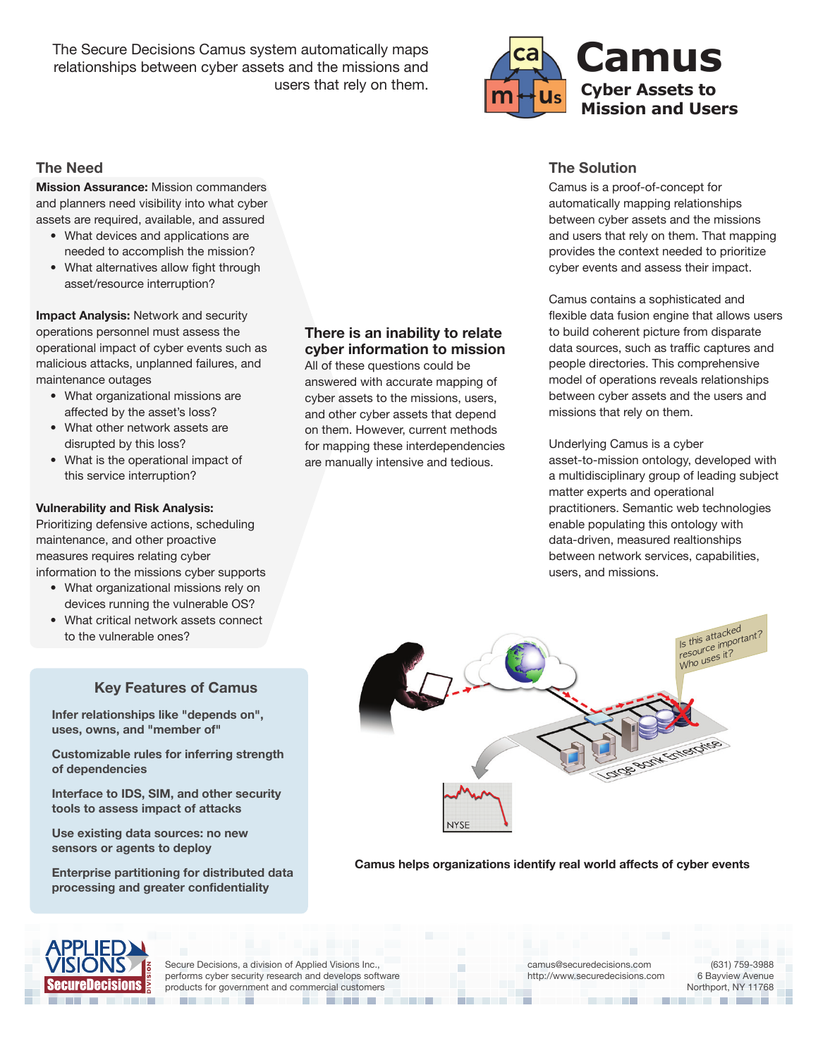The Secure Decisions Camus system automatically maps relationships between cyber assets and the missions and users that rely on them.



# **The Need**

**Mission Assurance:** Mission commanders and planners need visibility into what cyber assets are required, available, and assured

- What devices and applications are needed to accomplish the mission?
- What alternatives allow fight through asset/resource interruption?

**Impact Analysis:** Network and security operations personnel must assess the operational impact of cyber events such as malicious attacks, unplanned failures, and maintenance outages

- What organizational missions are affected by the asset's loss?
- What other network assets are disrupted by this loss?
- What is the operational impact of this service interruption?

### **Vulnerability and Risk Analysis:**

Prioritizing defensive actions, scheduling maintenance, and other proactive measures requires relating cyber information to the missions cyber supports

- What organizational missions rely on devices running the vulnerable OS?
- What critical network assets connect to the vulnerable ones?

# **Key Features of Camus**

**Infer relationships like "depends on", uses, owns, and "member of"**

**Customizable rules for inferring strength of dependencies**

**Interface to IDS, SIM, and other security tools to assess impact of attacks**

**Use existing data sources: no new sensors or agents to deploy**

**Enterprise partitioning for distributed data processing and greater confidentiality**

and the control

# **There is an inability to relate cyber information to mission**

All of these questions could be answered with accurate mapping of cyber assets to the missions, users, and other cyber assets that depend on them. However, current methods for mapping these interdependencies are manually intensive and tedious.

# **The Solution**

Camus is a proof-of-concept for automatically mapping relationships between cyber assets and the missions and users that rely on them. That mapping provides the context needed to prioritize cyber events and assess their impact.

Camus contains a sophisticated and flexible data fusion engine that allows users to build coherent picture from disparate data sources, such as traffic captures and people directories. This comprehensive model of operations reveals relationships between cyber assets and the users and missions that rely on them.

### Underlying Camus is a cyber asset-to-mission ontology, developed with a multidisciplinary group of leading subject matter experts and operational practitioners. Semantic web technologies enable populating this ontology with data-driven, measured realtionships between network services, capabilities, users, and missions.



**Camus helps organizations identify real world affects of cyber events**



Secure Decisions, a division of Applied Visions Inc., performs cyber security research and develops software products for government and commercial customers - 3

. . . . .

**The Common** 

camus@securedecisions.com http://www.securedecisions.com

**Contract Contract** 

**The Contract of Contract of Contract of Contract of Contract of Contract of Contract of Contract of Contract o** 

(631) 759-3988 6 Bayview Avenue Northport, NY 11768 . . .